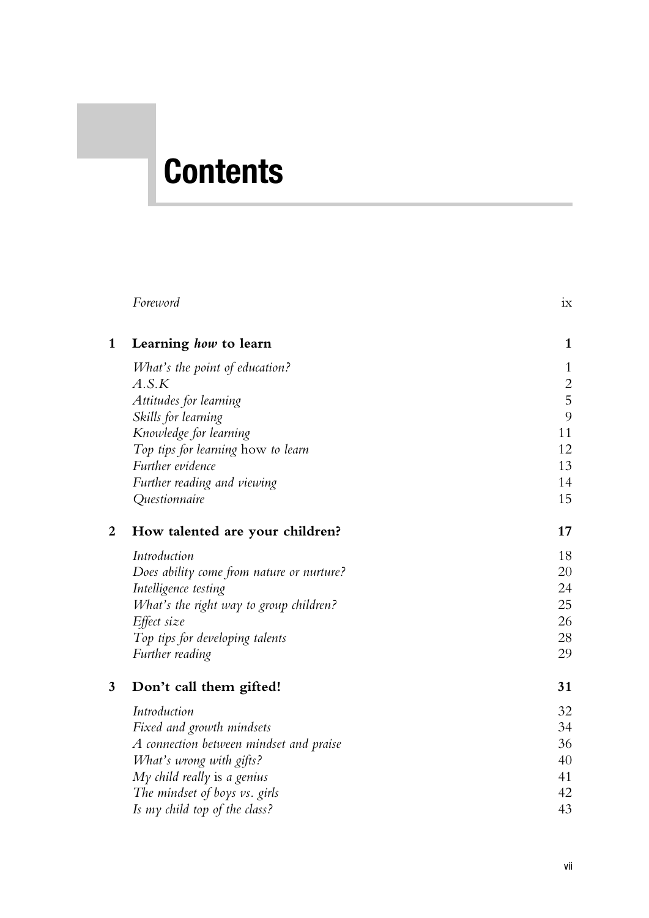## **Contents**

|   | Foreword                                  | ix                      |
|---|-------------------------------------------|-------------------------|
| 1 | Learning how to learn                     | 1                       |
|   | What's the point of education?            | $\mathbf{1}$            |
|   | A.S.K                                     | $\overline{\mathbf{c}}$ |
|   | Attitudes for learning                    | 5                       |
|   | Skills for learning                       | 9                       |
|   | Knowledge for learning                    | 11                      |
|   | Top tips for learning how to learn        | 12                      |
|   | Further evidence                          | 13                      |
|   | Further reading and viewing               | 14                      |
|   | Questionnaire                             | 15                      |
| 2 | How talented are your children?           | 17                      |
|   | Introduction                              | 18                      |
|   | Does ability come from nature or nurture? | 20                      |
|   | Intelligence testing                      | 24                      |
|   | What's the right way to group children?   | 25                      |
|   | Effect size                               | 26                      |
|   | Top tips for developing talents           | 28                      |
|   | Further reading                           | 29                      |
| 3 | Don't call them gifted!                   | 31                      |
|   | Introduction                              | 32                      |
|   | Fixed and growth mindsets                 | 34                      |
|   | A connection between mindset and praise   | 36                      |
|   | What's wrong with gifts?                  | 40                      |
|   | $My$ child really is a genius             | 41                      |
|   | The mindset of boys vs. girls             | 42                      |
|   | Is my child top of the class?             | 43                      |